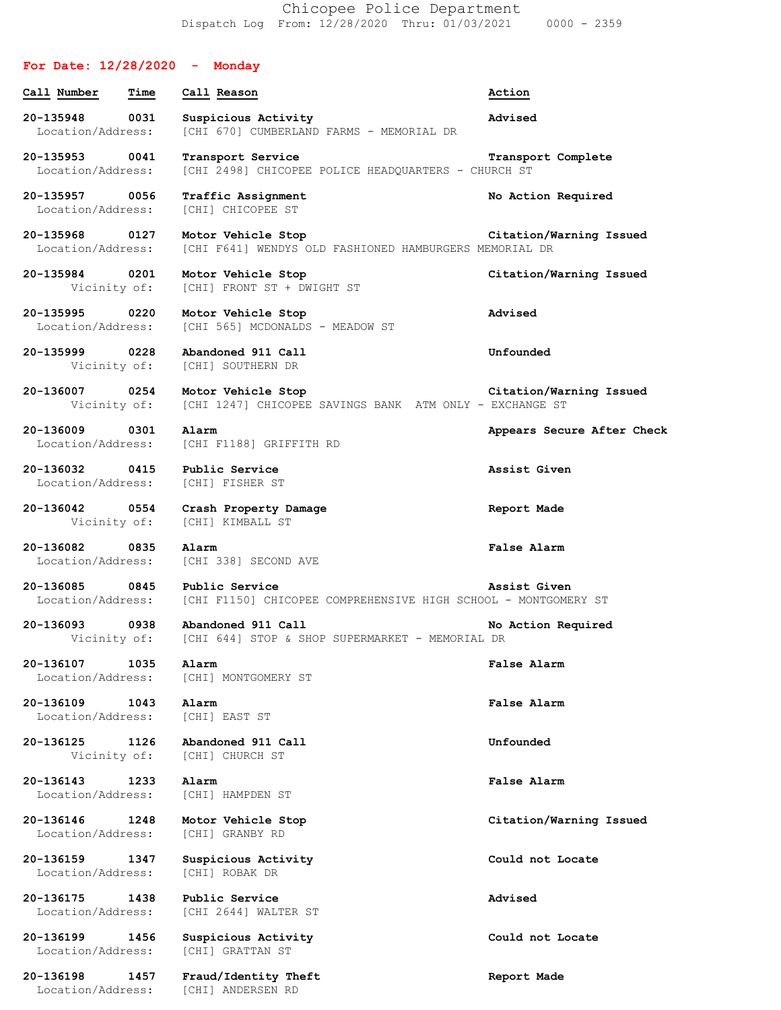Chicopee Police Department Dispatch Log From: 12/28/2020 Thru: 01/03/2021 0000 - 2359

## **For Date: 12/28/2020 - Monday**

**20-135948 0031 Suspicious Activity Advised** Location/Address: [CHI 670] CUMBERLAND FARMS - MEMORIAL DR

**Call Number Time Call Reason Action**

**20-135953 0041 Transport Service Transport Complete** Location/Address: [CHI 2498] CHICOPEE POLICE HEADQUARTERS - CHURCH ST

**20-135957 0056 Traffic Assignment No Action Required** Location/Address: [CHI] CHICOPEE ST

**20-135968 0127 Motor Vehicle Stop Citation/Warning Issued** Location/Address: [CHI F641] WENDYS OLD FASHIONED HAMBURGERS MEMORIAL DR

**20-135984 0201 Motor Vehicle Stop Citation/Warning Issued** Vicinity of: [CHI] FRONT ST + DWIGHT ST

**20-135995 0220 Motor Vehicle Stop Advised** Location/Address: [CHI 565] MCDONALDS - MEADOW ST

**20-135999 0228 Abandoned 911 Call Unfounded** Vicinity of: [CHI] SOUTHERN DR

**20-136007 0254 Motor Vehicle Stop Citation/Warning Issued** Vicinity of: [CHI 1247] CHICOPEE SAVINGS BANK ATM ONLY - EXCHANGE ST

**20-136009 0301 Alarm Appears Secure After Check** Location/Address: [CHI F1188] GRIFFITH RD

Location/Address: [CHI] FISHER ST

**20-136042 0554 Crash Property Damage Report Made** Vicinity of: [CHI] KIMBALL ST

**20-136082 0835 Alarm False Alarm** Location/Address: [CHI 338] SECOND AVE

**20-136107 1035 Alarm False Alarm**

**20-136109 1043 Alarm False Alarm**

**20-136125 1126 Abandoned 911 Call Unfounded**

**20-136143 1233 Alarm False Alarm**

**20-136159 1347 Suspicious Activity Could not Locate** Location/Address: [CHI] ROBAK DR

**20-136175 1438 Public Service Advised**

**20-136199 1456 Suspicious Activity Could not Locate**

**20-136198 1457 Fraud/Identity Theft Report Made** Location/Address: [CHI] ANDERSEN RD

Location/Address: [CHI F1150] CHICOPEE COMPREHENSIVE HIGH SCHOOL - MONTGOMERY ST

**20-136093 0938 Abandoned 911 Call No Action Required** Vicinity of: [CHI 644] STOP & SHOP SUPERMARKET - MEMORIAL DR

Location/Address: [CHI] MONTGOMERY ST

Location/Address: [CHI] EAST ST

Vicinity of: [CHI] CHURCH ST

Location/Address: [CHI] HAMPDEN ST

Location/Address: [CHI] GRANBY RD

Location/Address: [CHI 2644] WALTER ST

Location/Address: [CHI] GRATTAN ST

**20-136032 0415 Public Service Assist Given**

**20-136085 0845 Public Service Assist Given**

**20-136146 1248 Motor Vehicle Stop Citation/Warning Issued**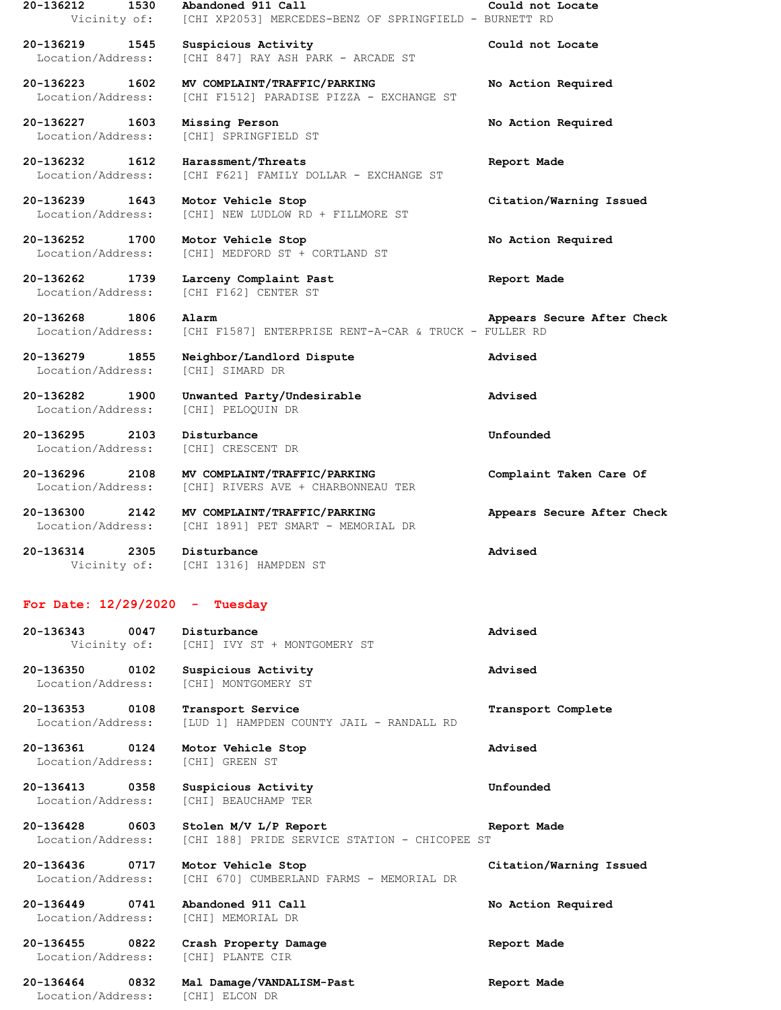| 20-136212<br>1530                      | Abandoned 911 Call                                                       | Could not Locate           |
|----------------------------------------|--------------------------------------------------------------------------|----------------------------|
| Vicinity of:                           | [CHI XP2053] MERCEDES-BENZ OF SPRINGFIELD - BURNETT RD                   |                            |
| 20-136219<br>1545<br>Location/Address: | Suspicious Activity<br>[CHI 847] RAY ASH PARK - ARCADE ST                | Could not Locate           |
| 20-136223 1602<br>Location/Address:    | MV COMPLAINT/TRAFFIC/PARKING<br>[CHI F1512] PARADISE PIZZA - EXCHANGE ST | No Action Required         |
| 20-136227<br>1603<br>Location/Address: | Missing Person<br>[CHI] SPRINGFIELD ST                                   | No Action Required         |
| 20-136232 1612<br>Location/Address:    | Harassment/Threats<br>[CHI F621] FAMILY DOLLAR - EXCHANGE ST             | Report Made                |
| 20-136239<br>1643<br>Location/Address: | Motor Vehicle Stop<br>[CHI] NEW LUDLOW RD + FILLMORE ST                  | Citation/Warning Issued    |
| 20-136252<br>1700<br>Location/Address: | Motor Vehicle Stop<br>[CHI] MEDFORD ST + CORTLAND ST                     | No Action Required         |
| 20-136262<br>1739<br>Location/Address: | Larceny Complaint Past<br>[CHI F162] CENTER ST                           | Report Made                |
| 20-136268<br>1806<br>Location/Address: | Alarm<br>[CHI F1587] ENTERPRISE RENT-A-CAR & TRUCK - FULLER RD           | Appears Secure After Check |
| 20-136279 1855<br>Location/Address:    | Neighbor/Landlord Dispute<br>[CHI] SIMARD DR                             | Advised                    |
| 20-136282<br>1900<br>Location/Address: | Unwanted Party/Undesirable<br>[CHI] PELOQUIN DR                          | Advised                    |
| 20-136295<br>2103<br>Location/Address: | Disturbance<br>[CHI] CRESCENT DR                                         | Unfounded                  |
| 20-136296<br>2108<br>Location/Address: | MV COMPLAINT/TRAFFIC/PARKING<br>[CHI] RIVERS AVE + CHARBONNEAU TER       | Complaint Taken Care Of    |
| 20-136300<br>2142<br>Location/Address: | MV COMPLAINT/TRAFFIC/PARKING<br>[CHI 1891] PET SMART - MEMORIAL DR       | Appears Secure After Check |
| 20-136314<br>2305                      | Disturbance<br>Vicinity of: [CHI 1316] HAMPDEN ST                        | Advised                    |
| For Date: $12/29/2020 -$               | Tuesday                                                                  |                            |
| 0047<br>20-136343<br>Vicinity of:      | Disturbance<br>[CHI] IVY ST + MONTGOMERY ST                              | Advised                    |
| 20-136350<br>0102<br>Location/Address: | Suspicious Activity<br>[CHI] MONTGOMERY ST                               | Advised                    |
| 20-136353<br>0108<br>Location/Address: | Transport Service<br>[LUD 1] HAMPDEN COUNTY JAIL - RANDALL RD            | Transport Complete         |
| 20-136361<br>0124<br>Location/Address: | Motor Vehicle Stop<br>[CHI] GREEN ST                                     | Advised                    |
| 20-136413<br>0358<br>Location/Address: | Suspicious Activity<br>[CHI] BEAUCHAMP TER                               | Unfounded                  |
| 20-136428<br>0603<br>Location/Address: | Stolen M/V L/P Report<br>[CHI 188] PRIDE SERVICE STATION - CHICOPEE ST   | Report Made                |
| 20-136436<br>0717<br>Location/Address: | Motor Vehicle Stop<br>[CHI 670] CUMBERLAND FARMS - MEMORIAL DR           | Citation/Warning Issued    |
| 20-136449<br>0741<br>Location/Address: | Abandoned 911 Call<br>[CHI] MEMORIAL DR                                  | No Action Required         |
| 20-136455<br>0822<br>Location/Address: | Crash Property Damage<br>[CHI] PLANTE CIR                                | Report Made                |
| 20-136464<br>0832                      | Mal Damage/VANDALISM-Past                                                | Report Made                |

Location/Address: [CHI] ELCON DR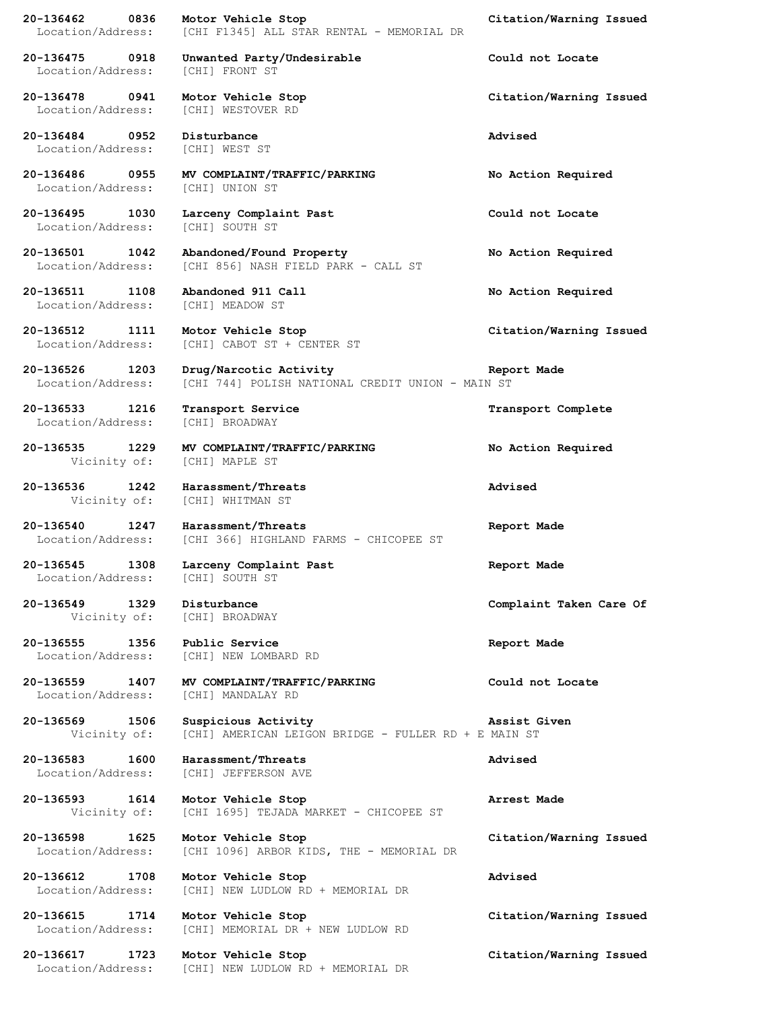| 20-136462<br>Location/Address:         | 0836 | Motor Vehicle Stop<br>[CHI F1345] ALL STAR RENTAL - MEMORIAL DR             | Citation/Warning Issued |
|----------------------------------------|------|-----------------------------------------------------------------------------|-------------------------|
| 20-136475<br>Location/Address:         | 0918 | Unwanted Party/Undesirable<br>[CHI] FRONT ST                                | Could not Locate        |
| 20-136478<br>Location/Address:         | 0941 | Motor Vehicle Stop<br>[CHI] WESTOVER RD                                     | Citation/Warning Issued |
| 20-136484<br>Location/Address:         | 0952 | Disturbance<br>[CHI] WEST ST                                                | Advised                 |
| 20-136486<br>Location/Address:         | 0955 | MV COMPLAINT/TRAFFIC/PARKING<br>[CHI] UNION ST                              | No Action Required      |
| 20-136495<br>Location/Address:         | 1030 | Larceny Complaint Past<br>[CHI] SOUTH ST                                    | Could not Locate        |
| 20-136501<br>Location/Address:         | 1042 | Abandoned/Found Property<br>[CHI 856] NASH FIELD PARK - CALL ST             | No Action Required      |
| 20-136511<br>Location/Address:         | 1108 | Abandoned 911 Call<br>[CHI] MEADOW ST                                       | No Action Required      |
| 20-136512<br>Location/Address:         | 1111 | Motor Vehicle Stop<br>[CHI] CABOT ST + CENTER ST                            | Citation/Warning Issued |
| 20-136526<br>Location/Address:         | 1203 | Drug/Narcotic Activity<br>[CHI 744] POLISH NATIONAL CREDIT UNION - MAIN ST  | Report Made             |
| 20-136533<br>Location/Address:         | 1216 | Transport Service<br>[CHI] BROADWAY                                         | Transport Complete      |
| 20-136535<br>Vicinity of:              | 1229 | MV COMPLAINT/TRAFFIC/PARKING<br>[CHI] MAPLE ST                              | No Action Required      |
| 20-136536<br>Vicinity of:              | 1242 | Harassment/Threats<br>[CHI] WHITMAN ST                                      | Advised                 |
| 20-136540<br>Location/Address:         | 1247 | Harassment/Threats<br>[CHI 366] HIGHLAND FARMS - CHICOPEE ST                | Report Made             |
| 20-136545<br>Location/Address:         | 1308 | Larceny Complaint Past<br>[CHI] SOUTH ST                                    | Report Made             |
| 20-136549                              | 1329 | Disturbance<br>Vicinity of: [CHI] BROADWAY                                  | Complaint Taken Care Of |
| 20-136555<br>Location/Address:         | 1356 | Public Service<br>[CHI] NEW LOMBARD RD                                      | Report Made             |
| 20-136559<br>1407<br>Location/Address: |      | MV COMPLAINT/TRAFFIC/PARKING<br>[CHI] MANDALAY RD                           | Could not Locate        |
| 20-136569<br>Vicinity of:              | 1506 | Suspicious Activity<br>[CHI] AMERICAN LEIGON BRIDGE - FULLER RD + E MAIN ST | Assist Given            |
| 20-136583<br>Location/Address:         | 1600 | Harassment/Threats<br>[CHI] JEFFERSON AVE                                   | Advised                 |
| 20-136593<br>Vicinity of:              | 1614 | Motor Vehicle Stop<br>[CHI 1695] TEJADA MARKET - CHICOPEE ST                | Arrest Made             |
| 20-136598<br>Location/Address:         | 1625 | Motor Vehicle Stop<br>[CHI 1096] ARBOR KIDS, THE - MEMORIAL DR              | Citation/Warning Issued |
| 20-136612<br>Location/Address:         | 1708 | Motor Vehicle Stop<br>[CHI] NEW LUDLOW RD + MEMORIAL DR                     | Advised                 |
| 20-136615<br>Location/Address:         | 1714 | Motor Vehicle Stop<br>[CHI] MEMORIAL DR + NEW LUDLOW RD                     | Citation/Warning Issued |
| 20-136617<br>Location/Address:         | 1723 | Motor Vehicle Stop<br>[CHI] NEW LUDLOW RD + MEMORIAL DR                     | Citation/Warning Issued |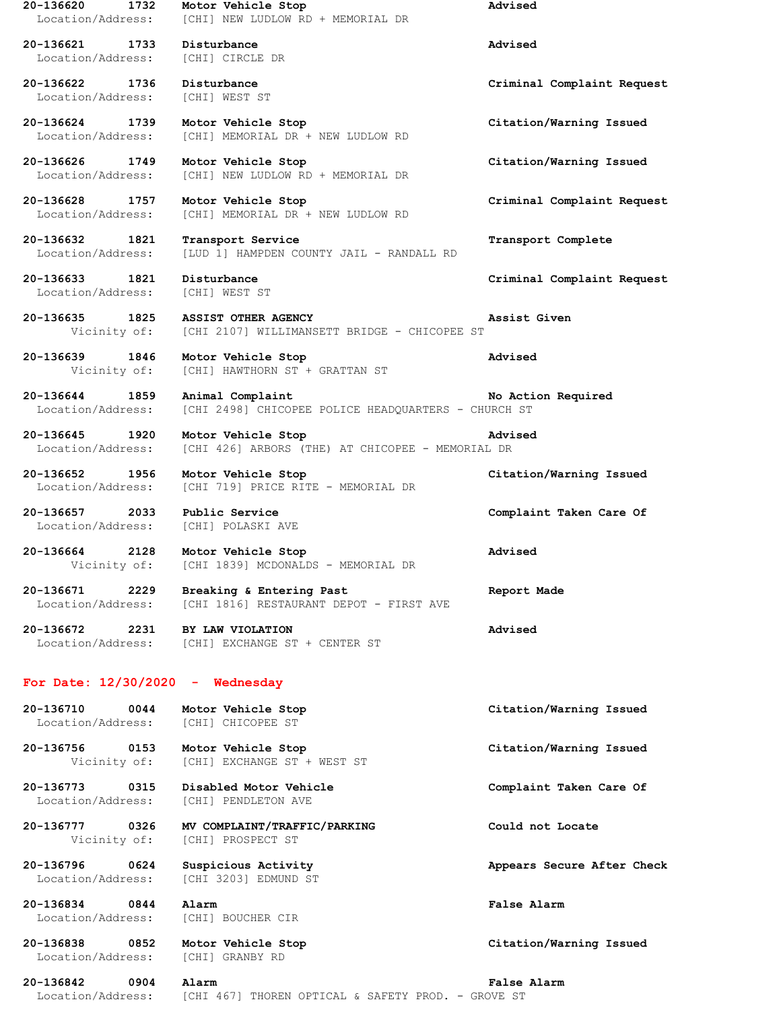**20-136620 1732 Motor Vehicle Stop Advised** Location/Address: [CHI] NEW LUDLOW RD + MEMORIAL DR **20-136621 1733 Disturbance Advised** Location/Address: [CHI] CIRCLE DR **20-136622 1736 Disturbance Criminal Complaint Request** Location/Address: [CHI] WEST ST **20-136624 1739 Motor Vehicle Stop Citation/Warning Issued** Location/Address: [CHI] MEMORIAL DR + NEW LUDLOW RD **20-136626 1749 Motor Vehicle Stop Citation/Warning Issued** Location/Address: [CHI] NEW LUDLOW RD + MEMORIAL DR **20-136628 1757 Motor Vehicle Stop Criminal Complaint Request** Location/Address: [CHI] MEMORIAL DR + NEW LUDLOW RD **20-136632 1821 Transport Service Transport Complete** Location/Address: [LUD 1] HAMPDEN COUNTY JAIL - RANDALL RD **20-136633 1821 Disturbance Criminal Complaint Request** Location/Address: [CHI] WEST ST **20-136635 1825 ASSIST OTHER AGENCY Assist Given** Vicinity of: [CHI 2107] WILLIMANSETT BRIDGE - CHICOPEE ST **20-136639 1846 Motor Vehicle Stop Advised** Vicinity of: [CHI] HAWTHORN ST + GRATTAN ST **20-136644 1859 Animal Complaint No Action Required** Location/Address: [CHI 2498] CHICOPEE POLICE HEADQUARTERS - CHURCH ST **20-136645 1920 Motor Vehicle Stop Advised** Location/Address: [CHI 426] ARBORS (THE) AT CHICOPEE - MEMORIAL DR **20-136652 1956 Motor Vehicle Stop Citation/Warning Issued** Location/Address: [CHI 719] PRICE RITE - MEMORIAL DR **20-136657 2033 Public Service Complaint Taken Care Of** Location/Address: [CHI] POLASKI AVE **20-136664 2128 Motor Vehicle Stop Advised** Vicinity of: [CHI 1839] MCDONALDS - MEMORIAL DR **20-136671 2229 Breaking & Entering Past Report Made** [CHI 1816] RESTAURANT DEPOT - FIRST AVE **20-136672 2231 BY LAW VIOLATION Advised** Location/Address: [CHI] EXCHANGE ST + CENTER ST **For Date: 12/30/2020 - Wednesday 20-136710 0044 Motor Vehicle Stop Citation/Warning Issued** Location/Address: [CHI] CHICOPEE ST **20-136756 0153 Motor Vehicle Stop Citation/Warning Issued** Vicinity of: [CHI] EXCHANGE ST + WEST ST **20-136773 0315 Disabled Motor Vehicle Complaint Taken Care Of** Location/Address: [CHI] PENDLETON AVE **20-136777 0326 MV COMPLAINT/TRAFFIC/PARKING Could not Locate** Vicinity of: [CHI] PROSPECT ST **20-136796 0624 Suspicious Activity Appears Secure After Check** Location/Address: [CHI 3203] EDMUND ST **20-136834 0844 Alarm False Alarm** Location/Address: [CHI] BOUCHER CIR **20-136838 0852 Motor Vehicle Stop Citation/Warning Issued** Location/Address: [CHI] GRANBY RD **20-136842 0904 Alarm False Alarm** Location/Address: [CHI 467] THOREN OPTICAL & SAFETY PROD. - GROVE ST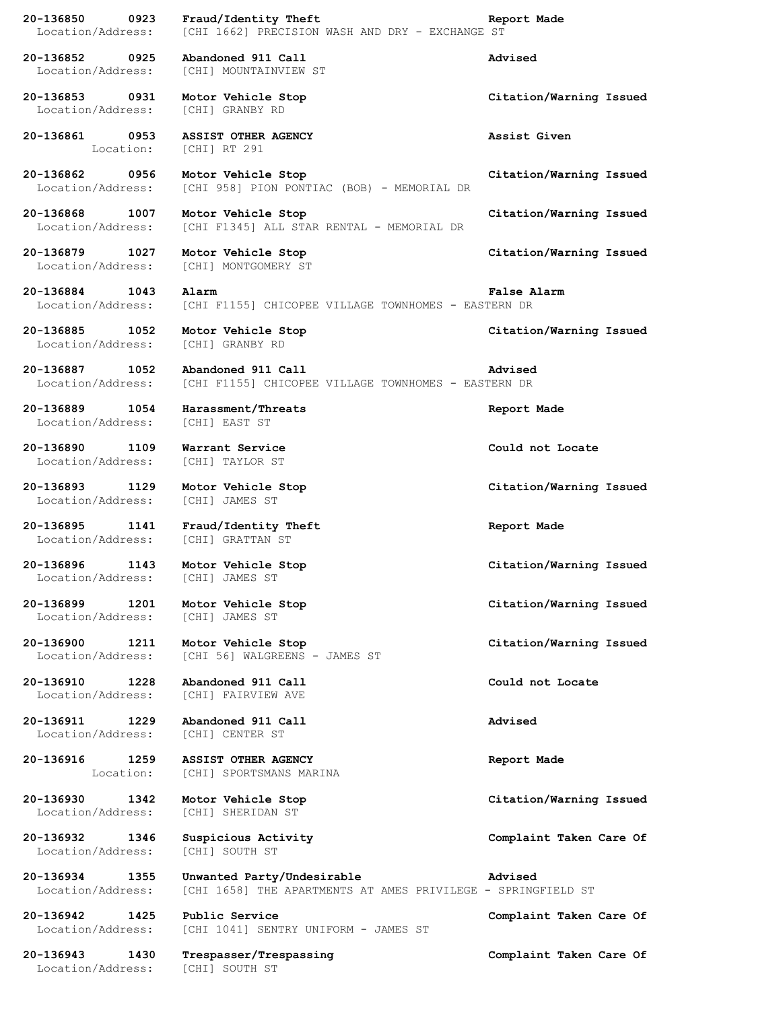| 20-136850<br>Location/Address:      | 0923      | Fraud/Identity Theft<br>[CHI 1662] PRECISION WASH AND DRY - EXCHANGE ST                    | Report Made             |
|-------------------------------------|-----------|--------------------------------------------------------------------------------------------|-------------------------|
| 20-136852 0925<br>Location/Address: |           | Abandoned 911 Call<br>[CHI] MOUNTAINVIEW ST                                                | Advised                 |
| 20-136853 0931<br>Location/Address: |           | Motor Vehicle Stop<br>[CHI] GRANBY RD                                                      | Citation/Warning Issued |
| 20-136861 0953                      | Location: | ASSIST OTHER AGENCY<br>[CHI] RT 291                                                        | Assist Given            |
| 20-136862 0956<br>Location/Address: |           | Motor Vehicle Stop<br>[CHI 958] PION PONTIAC (BOB) - MEMORIAL DR                           | Citation/Warning Issued |
| 20-136868 1007<br>Location/Address: |           | Motor Vehicle Stop<br>[CHI F1345] ALL STAR RENTAL - MEMORIAL DR                            | Citation/Warning Issued |
| 20-136879 1027<br>Location/Address: |           | Motor Vehicle Stop<br>[CHI] MONTGOMERY ST                                                  | Citation/Warning Issued |
| 20-136884 1043<br>Location/Address: |           | Alarm<br>[CHI F1155] CHICOPEE VILLAGE TOWNHOMES - EASTERN DR                               | False Alarm             |
| 20-136885 1052<br>Location/Address: |           | Motor Vehicle Stop<br>[CHI] GRANBY RD                                                      | Citation/Warning Issued |
| 20-136887 1052<br>Location/Address: |           | Abandoned 911 Call<br>[CHI F1155] CHICOPEE VILLAGE TOWNHOMES - EASTERN DR                  | Advised                 |
| 20-136889 1054<br>Location/Address: |           | Harassment/Threats<br>[CHI] EAST ST                                                        | Report Made             |
| 20-136890<br>Location/Address:      | 1109      | Warrant Service<br>[CHI] TAYLOR ST                                                         | Could not Locate        |
| 20-136893 1129<br>Location/Address: |           | Motor Vehicle Stop<br>[CHI] JAMES ST                                                       | Citation/Warning Issued |
| 20-136895<br>Location/Address:      |           | 1141 Fraud/Identity Theft<br>[CHI] GRATTAN ST                                              | Report Made             |
| 20-136896 1143                      |           | Motor Vehicle Stop<br>Location/Address: [CHI] JAMES ST                                     | Citation/Warning Issued |
| 20-136899<br>Location/Address:      | 1201      | Motor Vehicle Stop<br>[CHI] JAMES ST                                                       | Citation/Warning Issued |
| 20-136900<br>Location/Address:      | 1211      | Motor Vehicle Stop<br>[CHI 56] WALGREENS - JAMES ST                                        | Citation/Warning Issued |
| 20-136910 1228<br>Location/Address: |           | Abandoned 911 Call<br>[CHI] FAIRVIEW AVE                                                   | Could not Locate        |
| 20-136911 1229<br>Location/Address: |           | Abandoned 911 Call<br>[CHI] CENTER ST                                                      | Advised                 |
| 20-136916 1259                      | Location: | ASSIST OTHER AGENCY<br>[CHI] SPORTSMANS MARINA                                             | Report Made             |
| 20-136930<br>Location/Address:      | 1342      | Motor Vehicle Stop<br>[CHI] SHERIDAN ST                                                    | Citation/Warning Issued |
| 20-136932<br>Location/Address:      | 1346      | Suspicious Activity<br>[CHI] SOUTH ST                                                      | Complaint Taken Care Of |
| 20-136934 1355<br>Location/Address: |           | Unwanted Party/Undesirable<br>[CHI 1658] THE APARTMENTS AT AMES PRIVILEGE - SPRINGFIELD ST | Advised                 |
| 20-136942<br>Location/Address:      | 1425      | Public Service<br>[CHI 1041] SENTRY UNIFORM - JAMES ST                                     | Complaint Taken Care Of |
| 20-136943<br>Location/Address:      | 1430      | Trespasser/Trespassing<br>[CHI] SOUTH ST                                                   | Complaint Taken Care Of |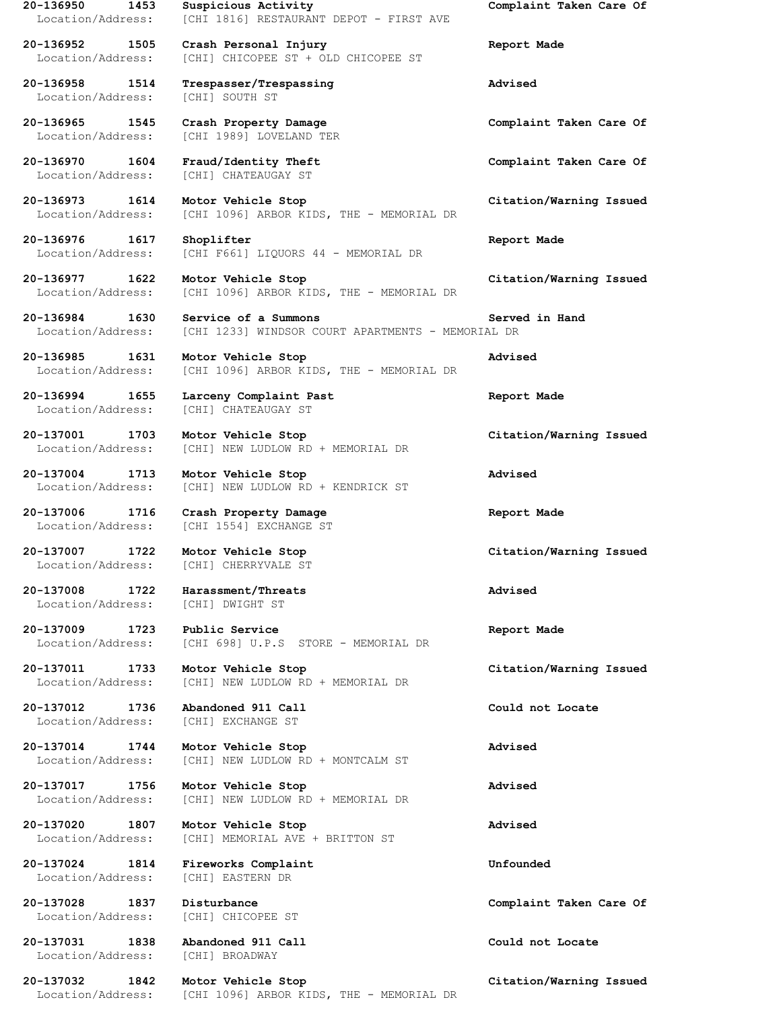Location/Address: [CHI] SOUTH ST

Location/Address: [CHI] DWIGHT ST

Location/Address: [CHI] EASTERN DR

**20-137031 1838 Abandoned 911 Call Could not Locate** Location/Address: [CHI] BROADWAY

**20-136950 1453 Suspicious Activity Complaint Taken Care Of** Location/Address: [CHI 1816] RESTAURANT DEPOT - FIRST AVE

**20-136952 1505 Crash Personal Injury Report Made** Location/Address: [CHI] CHICOPEE ST + OLD CHICOPEE ST

**20-136958 1514 Trespasser/Trespassing Advised**

Location/Address: [CHI 1989] LOVELAND TER

Location/Address: [CHI] CHATEAUGAY ST

**20-136973 1614 Motor Vehicle Stop Citation/Warning Issued** Location/Address: [CHI 1096] ARBOR KIDS, THE - MEMORIAL DR

**20-136976 1617 Shoplifter Report Made** Location/Address: [CHI F661] LIQUORS 44 - MEMORIAL DR

**20-136977 1622 Motor Vehicle Stop Citation/Warning Issued** Location/Address: [CHI 1096] ARBOR KIDS, THE - MEMORIAL DR

**20-136984 1630 Service of a Summons Served in Hand** Location/Address: [CHI 1233] WINDSOR COURT APARTMENTS - MEMORIAL DR

**20-136985 1631 Motor Vehicle Stop Advised** Location/Address: [CHI 1096] ARBOR KIDS, THE - MEMORIAL DR

**20-136994 1655 Larceny Complaint Past Report Made** Location/Address: [CHI] CHATEAUGAY ST

**20-137001 1703 Motor Vehicle Stop Citation/Warning Issued** Location/Address: [CHI] NEW LUDLOW RD + MEMORIAL DR

**20-137004 1713 Motor Vehicle Stop Advised** Location/Address: [CHI] NEW LUDLOW RD + KENDRICK ST

**20-137006 1716 Crash Property Damage Report Made** Location/Address: [CHI 1554] EXCHANGE ST

**20-137007 1722 Motor Vehicle Stop Citation/Warning Issued** Location/Address: [CHI] CHERRYVALE ST

**20-137008 1722 Harassment/Threats Advised**

**20-137009 1723 Public Service Report Made** Location/Address: [CHI 698] U.P.S STORE - MEMORIAL DR

**20-137011 1733 Motor Vehicle Stop Citation/Warning Issued** Location/Address: [CHI] NEW LUDLOW RD + MEMORIAL DR

**20-137012 1736 Abandoned 911 Call Could not Locate** Location/Address: [CHI] EXCHANGE ST

**20-137014 1744 Motor Vehicle Stop Advised** Location/Address: [CHI] NEW LUDLOW RD + MONTCALM ST

**20-137017 1756 Motor Vehicle Stop Advised** Location/Address: [CHI] NEW LUDLOW RD + MEMORIAL DR

**20-137020 1807 Motor Vehicle Stop Advised** Location/Address: [CHI] MEMORIAL AVE + BRITTON ST

**20-137024 1814 Fireworks Complaint Unfounded**

Location/Address: [CHI] CHICOPEE ST

Location/Address: [CHI 1096] ARBOR KIDS, THE - MEMORIAL DR

**20-136965 1545 Crash Property Damage Complaint Taken Care Of**

**20-136970 1604 Fraud/Identity Theft Complaint Taken Care Of**

**20-137028 1837 Disturbance Complaint Taken Care Of**

**20-137032 1842 Motor Vehicle Stop Citation/Warning Issued**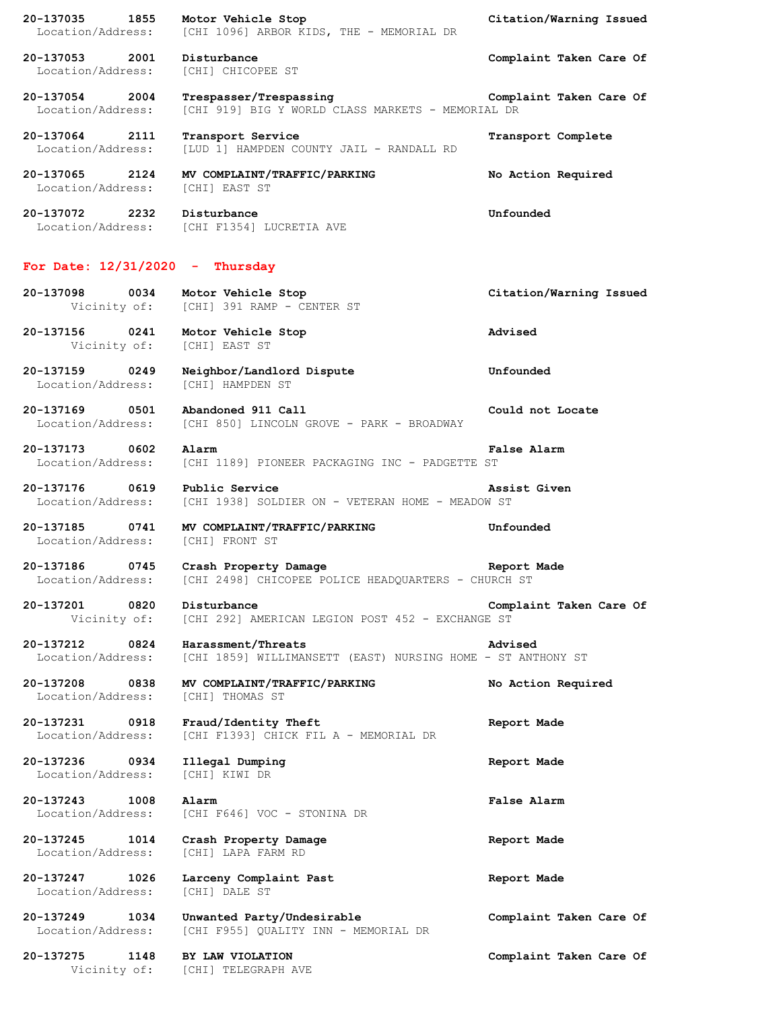**20-137035 1855 Motor Vehicle Stop Citation/Warning Issued** Location/Address: [CHI 1096] ARBOR KIDS, THE - MEMORIAL DR **20-137053 2001 Disturbance Complaint Taken Care Of** Location/Address: [CHI] CHICOPEE ST **20-137054 2004 Trespasser/Trespassing Complaint Taken Care Of** Location/Address: [CHI 919] BIG Y WORLD CLASS MARKETS - MEMORIAL DR **20-137064 2111 Transport Service Transport Complete** Location/Address: [LUD 1] HAMPDEN COUNTY JAIL - RANDALL RD **20-137065 2124 MV COMPLAINT/TRAFFIC/PARKING No Action Required** Location/Address: [CHI] EAST ST **20-137072 2232 Disturbance Unfounded** Location/Address: [CHI F1354] LUCRETIA AVE **For Date: 12/31/2020 - Thursday 20-137098 0034 Motor Vehicle Stop Citation/Warning Issued** Vicinity of: [CHI] 391 RAMP - CENTER ST **20-137156 0241 Motor Vehicle Stop Advised** Vicinity of: [CHI] EAST ST **20-137159 0249 Neighbor/Landlord Dispute Unfounded** Location/Address: [CHI] HAMPDEN ST **20-137169 0501 Abandoned 911 Call Could not Locate** Location/Address: [CHI 850] LINCOLN GROVE - PARK - BROADWAY **20-137173 0602 Alarm False Alarm** Location/Address: [CHI 1189] PIONEER PACKAGING INC - PADGETTE ST **20-137176 0619 Public Service Assist Given** Location/Address: [CHI 1938] SOLDIER ON - VETERAN HOME - MEADOW ST **20-137185 0741 MV COMPLAINT/TRAFFIC/PARKING Unfounded** Location/Address: [CHI] FRONT ST **20-137186 0745 Crash Property Damage Report Made** Location/Address: [CHI 2498] CHICOPEE POLICE HEADQUARTERS - CHURCH ST **20-137201 0820 Disturbance Complaint Taken Care Of** Vicinity of: [CHI 292] AMERICAN LEGION POST 452 - EXCHANGE ST **20-137212 0824 Harassment/Threats Advised** Location/Address: [CHI 1859] WILLIMANSETT (EAST) NURSING HOME - ST ANTHONY ST **20-137208 0838 MV COMPLAINT/TRAFFIC/PARKING No Action Required** Location/Address: [CHI] THOMAS ST **20-137231 0918 Fraud/Identity Theft Report Made** Location/Address: [CHI F1393] CHICK FIL A - MEMORIAL DR **20-137236 0934 Illegal Dumping Report Made** Location/Address: [CHI] KIWI DR **20-137243 1008 Alarm False Alarm** Location/Address: [CHI F646] VOC - STONINA DR **20-137245 1014 Crash Property Damage Report Made** Location/Address: [CHI] LAPA FARM RD **20-137247 1026 Larceny Complaint Past Report Made** Location/Address: [CHI] DALE ST **20-137249 1034 Unwanted Party/Undesirable Complaint Taken Care Of** Location/Address: [CHI F955] QUALITY INN - MEMORIAL DR **20-137275 1148 BY LAW VIOLATION Complaint Taken Care Of**

Vicinity of: [CHI] TELEGRAPH AVE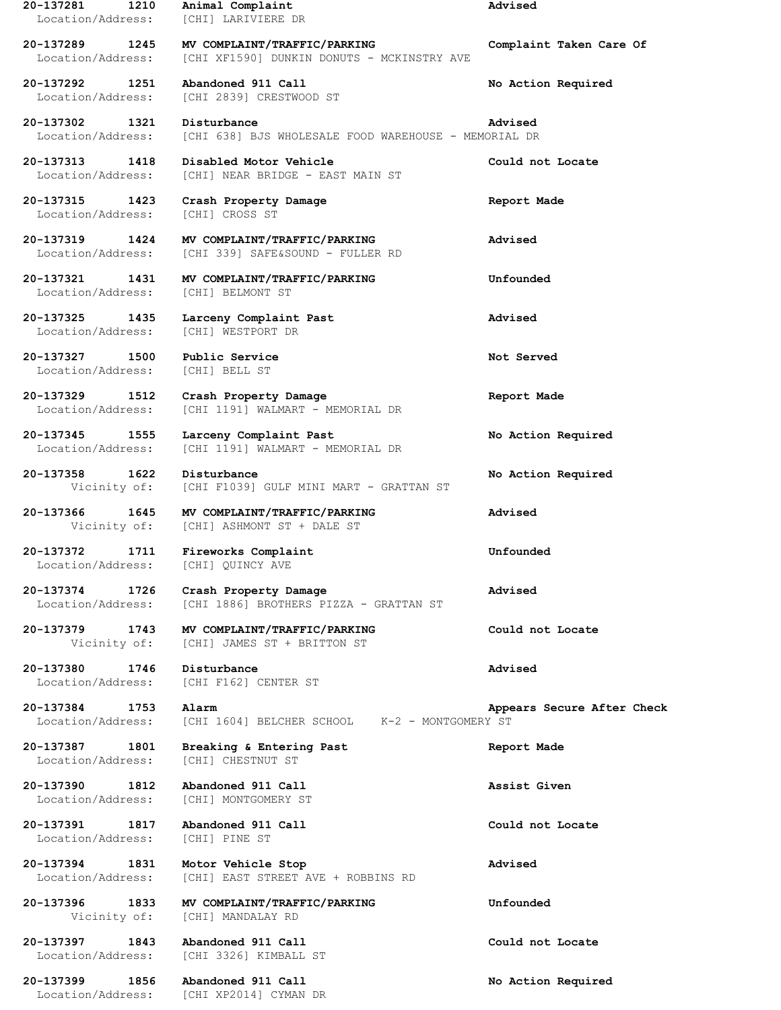**20-137281 1210 Animal Complaint Advised** Location/Address: [CHI] LARIVIERE DR **20-137289 1245 MV COMPLAINT/TRAFFIC/PARKING Complaint Taken Care Of** Location/Address: [CHI XF1590] DUNKIN DONUTS - MCKINSTRY AVE **20-137292 1251 Abandoned 911 Call No Action Required** Location/Address: [CHI 2839] CRESTWOOD ST **20-137302 1321 Disturbance Advised** Location/Address: [CHI 638] BJS WHOLESALE FOOD WAREHOUSE - MEMORIAL DR **20-137313 1418 Disabled Motor Vehicle Could not Locate** Location/Address: [CHI] NEAR BRIDGE - EAST MAIN ST **20-137315 1423 Crash Property Damage Report Made** Location/Address: [CHI] CROSS ST **20-137319 1424 MV COMPLAINT/TRAFFIC/PARKING Advised** Location/Address: [CHI 339] SAFE&SOUND - FULLER RD **20-137321 1431 MV COMPLAINT/TRAFFIC/PARKING Unfounded** Location/Address: [CHI] BELMONT ST **20-137325 1435 Larceny Complaint Past Advised** Location/Address: [CHI] WESTPORT DR **20-137327 1500 Public Service Not Served** Location/Address: [CHI] BELL ST **20-137329 1512 Crash Property Damage Report Made** Location/Address: [CHI 1191] WALMART - MEMORIAL DR **20-137345 1555 Larceny Complaint Past No Action Required** Location/Address: [CHI 1191] WALMART - MEMORIAL DR **20-137358 1622 Disturbance No Action Required** Vicinity of: [CHI F1039] GULF MINI MART - GRATTAN ST **20-137366 1645 MV COMPLAINT/TRAFFIC/PARKING Advised** Vicinity of: [CHI] ASHMONT ST + DALE ST **20-137372 1711 Fireworks Complaint Unfounded** Location/Address: [CHI] QUINCY AVE **20-137374 1726 Crash Property Damage Advised** [CHI 1886] BROTHERS PIZZA - GRATTAN ST **20-137379 1743 MV COMPLAINT/TRAFFIC/PARKING Could not Locate** Vicinity of: [CHI] JAMES ST + BRITTON ST **20-137380 1746 Disturbance Advised** Location/Address: [CHI F162] CENTER ST **20-137384 1753 Alarm Appears Secure After Check** Location/Address: [CHI 1604] BELCHER SCHOOL K-2 - MONTGOMERY ST **20-137387 1801 Breaking & Entering Past Report Made** Location/Address: [CHI] CHESTNUT ST **20-137390 1812 Abandoned 911 Call Assist Given** Location/Address: [CHI] MONTGOMERY ST **20-137391 1817 Abandoned 911 Call Could not Locate** Location/Address: [CHI] PINE ST **20-137394 1831 Motor Vehicle Stop Advised** Location/Address: [CHI] EAST STREET AVE + ROBBINS RD **20-137396 1833 MV COMPLAINT/TRAFFIC/PARKING Unfounded** Vicinity of: [CHI] MANDALAY RD **20-137397 1843 Abandoned 911 Call Could not Locate** Location/Address: [CHI 3326] KIMBALL ST **20-137399 1856 Abandoned 911 Call No Action Required**

Location/Address: [CHI XP2014] CYMAN DR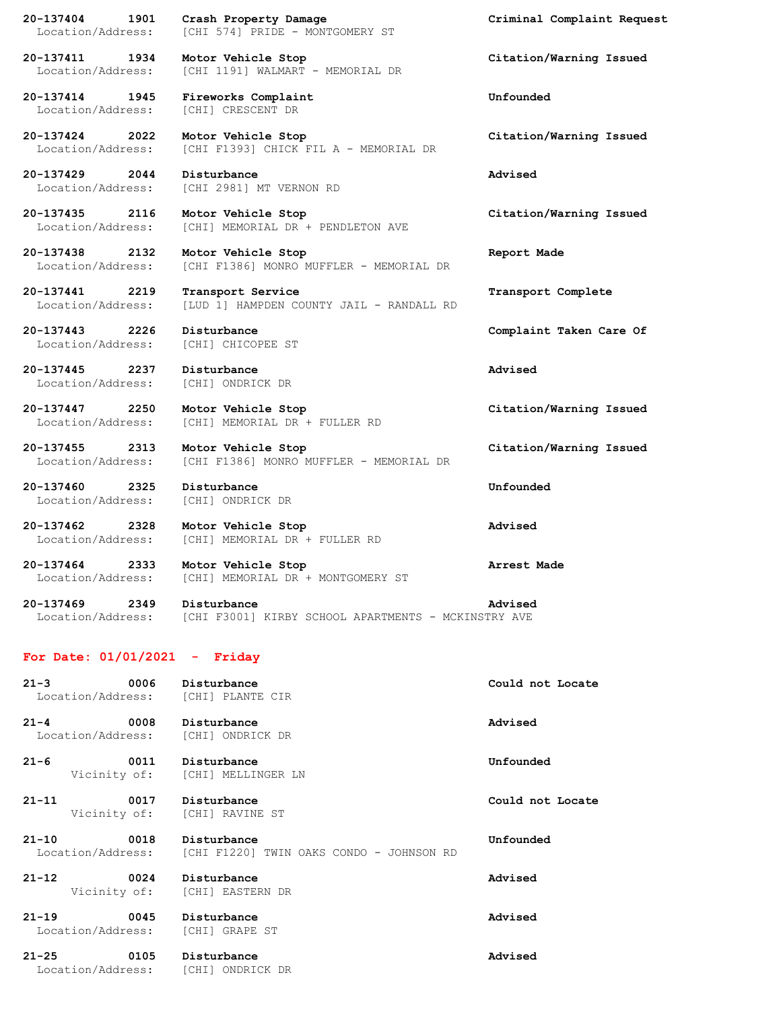**20-137404 1901 Crash Property Damage Criminal Complaint Request** Location/Address: [CHI 574] PRIDE - MONTGOMERY ST

**20-137414 1945 Fireworks Complaint Unfounded** Location/Address: [CHI] CRESCENT DR

**20-137429 2044 Disturbance Advised**

**20-137443 2226 Disturbance Complaint Taken Care Of**

Location/Address: [CHI] ONDRICK DR

**20-137460 2325 Disturbance Unfounded** Location/Address: [CHI] ONDRICK DR

**20-137462 2328 Motor Vehicle Stop Advised** Location/Address: [CHI] MEMORIAL DR + FULLER RD

**20-137411 1934 Motor Vehicle Stop Citation/Warning Issued** Location/Address: [CHI 1191] WALMART - MEMORIAL DR

**20-137424 2022 Motor Vehicle Stop Citation/Warning Issued** Location/Address: [CHI F1393] CHICK FIL A - MEMORIAL DR

Location/Address: [CHI 2981] MT VERNON RD

**20-137435 2116 Motor Vehicle Stop Citation/Warning Issued** Location/Address: [CHI] MEMORIAL DR + PENDLETON AVE

**20-137438 2132 Motor Vehicle Stop Report Made** Location/Address: [CHI F1386] MONRO MUFFLER - MEMORIAL DR

**20-137441 2219 Transport Service Transport Complete** Location/Address: [LUD 1] HAMPDEN COUNTY JAIL - RANDALL RD

Location/Address: [CHI] CHICOPEE ST

**20-137445 2237 Disturbance Advised**

**20-137447 2250 Motor Vehicle Stop Citation/Warning Issued**

Location/Address: [CHI] MEMORIAL DR + FULLER RD

**20-137455 2313 Motor Vehicle Stop Citation/Warning Issued** Location/Address: [CHI F1386] MONRO MUFFLER - MEMORIAL DR

**20-137464 2333 Motor Vehicle Stop Arrest Made** Location/Address: [CHI] MEMORIAL DR + MONTGOMERY ST

**20-137469 2349 Disturbance Advised** Location/Address: [CHI F3001] KIRBY SCHOOL APARTMENTS - MCKINSTRY AVE

## **For Date: 01/01/2021 - Friday**

Location/Address: [CHI] ONDRICK DR

| $21 - 3$<br>Location/Address: [CHI] PLANTE CIR         | 0006 Disturbance                                        | Could not Locate |
|--------------------------------------------------------|---------------------------------------------------------|------------------|
| $21 - 4$<br>0008<br>Location/Address: [CHI] ONDRICK DR | Disturbance                                             | Advised          |
| $21 - 6$<br>0011                                       | Disturbance<br>Vicinity of: [CHI] MELLINGER LN          | Unfounded        |
| $21 - 11$<br>0017                                      | Disturbance<br>Vicinity of: [CHI] RAVINE ST             | Could not Locate |
| $21 - 10$<br>0018<br>Location/Address:                 | Disturbance<br>[CHI F1220] TWIN OAKS CONDO - JOHNSON RD | Unfounded        |
| $21 - 12$                                              | 0024 Disturbance<br>Vicinity of: [CHI] EASTERN DR       | Advised          |
| $21 - 19$<br>Location/Address: [CHI] GRAPE ST          | 0045 Disturbance                                        | Advised          |
| $21 - 25$<br>0105                                      | Disturbance                                             | Advised          |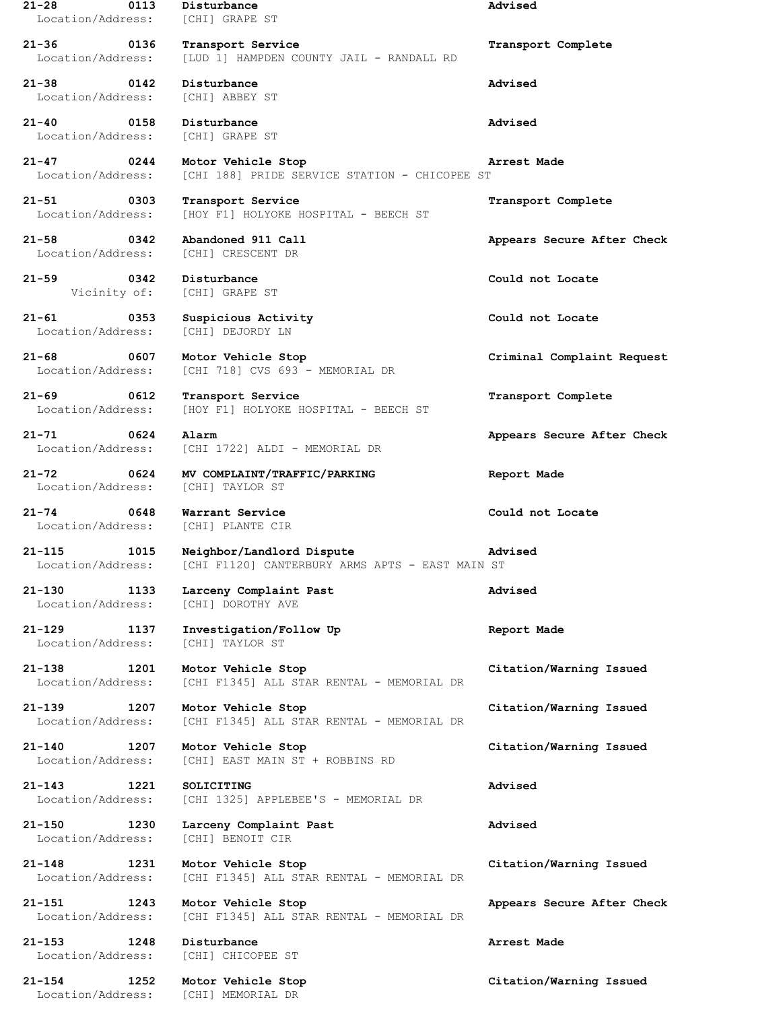**21-28 0113 Disturbance Advised** Location/Address: [CHI] GRAPE ST **21-36 0136 Transport Service Transport Complete** Location/Address: [LUD 1] HAMPDEN COUNTY JAIL - RANDALL RD **21-38 0142 Disturbance Advised** Location/Address: [CHI] ABBEY ST **21-40 0158 Disturbance Advised** Location/Address: [CHI] GRAPE ST **21-47 0244 Motor Vehicle Stop Arrest Made** Location/Address: [CHI 188] PRIDE SERVICE STATION - CHICOPEE ST **21-51 0303 Transport Service Transport Complete** Location/Address: [HOY F1] HOLYOKE HOSPITAL - BEECH ST **21-58 0342 Abandoned 911 Call Appears Secure After Check** Location/Address: [CHI] CRESCENT DR **21-59 0342 Disturbance Could not Locate** Vicinity of: [CHI] GRAPE ST **21-61 0353 Suspicious Activity Could not Locate** Location/Address: [CHI] DEJORDY LN **21-68 0607 Motor Vehicle Stop Criminal Complaint Request** Location/Address: [CHI 718] CVS 693 - MEMORIAL DR **21-69 0612 Transport Service Transport Complete** Location/Address: [HOY F1] HOLYOKE HOSPITAL - BEECH ST **21-71 0624 Alarm Appears Secure After Check** Location/Address: [CHI 1722] ALDI - MEMORIAL DR **21-72 0624 MV COMPLAINT/TRAFFIC/PARKING Report Made** Location/Address: [CHI] TAYLOR ST **21-74 0648 Warrant Service Could not Locate** Location/Address: [CHI] PLANTE CIR **21-115 1015 Neighbor/Landlord Dispute Advised** Location/Address: [CHI F1120] CANTERBURY ARMS APTS - EAST MAIN ST **21-130 1133 Larceny Complaint Past Advised** Location/Address: [CHI] DOROTHY AVE **21-129 1137 Investigation/Follow Up Report Made** Location/Address: [CHI] TAYLOR ST **21-138 1201 Motor Vehicle Stop Citation/Warning Issued** Location/Address: [CHI F1345] ALL STAR RENTAL - MEMORIAL DR **21-139 1207 Motor Vehicle Stop Citation/Warning Issued** Location/Address: [CHI F1345] ALL STAR RENTAL - MEMORIAL DR **21-140 1207 Motor Vehicle Stop Citation/Warning Issued** Location/Address: [CHI] EAST MAIN ST + ROBBINS RD **21-143 1221 SOLICITING Advised** Location/Address: [CHI 1325] APPLEBEE'S - MEMORIAL DR **21-150 1230 Larceny Complaint Past Advised** Location/Address: [CHI] BENOIT CIR **21-148 1231 Motor Vehicle Stop Citation/Warning Issued** Location/Address: [CHI F1345] ALL STAR RENTAL - MEMORIAL DR **21-151 1243 Motor Vehicle Stop Appears Secure After Check** Location/Address: [CHI F1345] ALL STAR RENTAL - MEMORIAL DR **21-153 1248 Disturbance Arrest Made** Location/Address: [CHI] CHICOPEE ST **21-154 1252 Motor Vehicle Stop Citation/Warning Issued** Location/Address: [CHI] MEMORIAL DR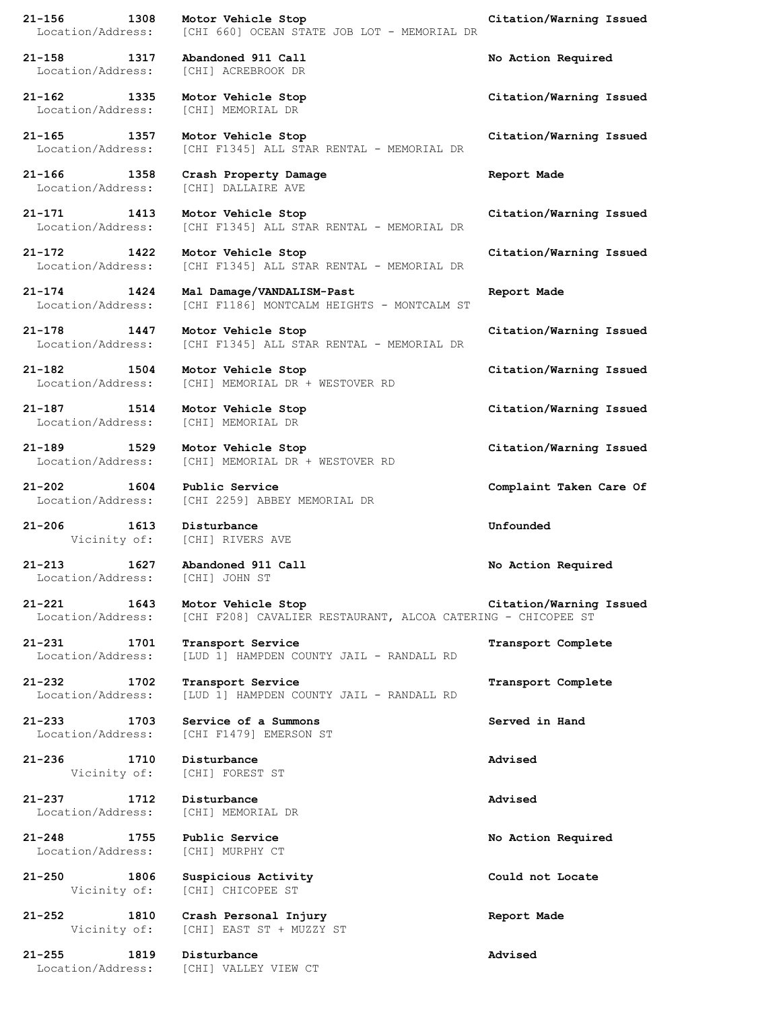| 21-156 1308<br>Location/Address:                                       | Motor Vehicle Stop<br>[CHI 660] OCEAN STATE JOB LOT - MEMORIAL DR                  | Citation/Warning Issued |
|------------------------------------------------------------------------|------------------------------------------------------------------------------------|-------------------------|
| 21-158 1317 Abandoned 911 Call<br>Location/Address: [CHI] ACREBROOK DR |                                                                                    | No Action Required      |
| 21-162 1335 Motor Vehicle Stop<br>Location/Address:                    | [CHI] MEMORIAL DR                                                                  | Citation/Warning Issued |
| 21-165 1357<br>Location/Address:                                       | Motor Vehicle Stop<br>[CHI F1345] ALL STAR RENTAL - MEMORIAL DR                    | Citation/Warning Issued |
| 21-166 1358<br>Location/Address:                                       | Crash Property Damage<br>[CHI] DALLAIRE AVE                                        | Report Made             |
| 21-171 1413 Motor Vehicle Stop                                         | Location/Address: [CHI F1345] ALL STAR RENTAL - MEMORIAL DR                        | Citation/Warning Issued |
| 21-172 1422<br>Location/Address:                                       | Motor Vehicle Stop<br>[CHI F1345] ALL STAR RENTAL - MEMORIAL DR                    | Citation/Warning Issued |
| 21-174 1424<br>Location/Address:                                       | Mal Damage/VANDALISM-Past<br>[CHI F1186] MONTCALM HEIGHTS - MONTCALM ST            | Report Made             |
| 21-178 1447<br>Location/Address:                                       | Motor Vehicle Stop<br>[CHI F1345] ALL STAR RENTAL - MEMORIAL DR                    | Citation/Warning Issued |
| 21-182 1504 Motor Vehicle Stop                                         | Location/Address: [CHI] MEMORIAL DR + WESTOVER RD                                  | Citation/Warning Issued |
| 21-187 1514 Motor Vehicle Stop<br>Location/Address: [CHI] MEMORIAL DR  |                                                                                    | Citation/Warning Issued |
| 21-189 1529 Motor Vehicle Stop<br>Location/Address:                    | [CHI] MEMORIAL DR + WESTOVER RD                                                    | Citation/Warning Issued |
| 21-202 1604 Public Service                                             | Location/Address: [CHI 2259] ABBEY MEMORIAL DR                                     | Complaint Taken Care Of |
| 1613 Disturbance<br>21-206<br>Vicinity of: [CHI] RIVERS AVE            |                                                                                    | Unfounded               |
| 21-213 1627 Abandoned 911 Call<br>Location/Address: [CHI] JOHN ST      |                                                                                    | No Action Required      |
| 21-221 1643<br>Location/Address:                                       | Motor Vehicle Stop<br>[CHI F208] CAVALIER RESTAURANT, ALCOA CATERING - CHICOPEE ST | Citation/Warning Issued |
| 21-231 1701<br>Location/Address:                                       | Transport Service<br>[LUD 1] HAMPDEN COUNTY JAIL - RANDALL RD                      | Transport Complete      |
| 21-232 1702<br>Location/Address:                                       | Transport Service<br>[LUD 1] HAMPDEN COUNTY JAIL - RANDALL RD                      | Transport Complete      |
| 1703<br>21-233                                                         | Service of a Summons<br>Location/Address: [CHI F1479] EMERSON ST                   | Served in Hand          |
| 21-236 1710 Disturbance                                                | Vicinity of: [CHI] FOREST ST                                                       | Advised                 |
| 21-237 1712 Disturbance<br>Location/Address: [CHI] MEMORIAL DR         |                                                                                    | Advised                 |
| 21-248 1755<br>Location/Address:                                       | Public Service<br>[CHI] MURPHY CT                                                  | No Action Required      |
| 1806<br>21-250                                                         | Suspicious Activity<br>Vicinity of: [CHI] CHICOPEE ST                              | Could not Locate        |
| 21-252<br>1810                                                         | Crash Personal Injury<br>Vicinity of: [CHI] EAST ST + MUZZY ST                     | Report Made             |
| 21-255<br>1819<br>Location/Address: [CHI] VALLEY VIEW CT               | Disturbance                                                                        | Advised                 |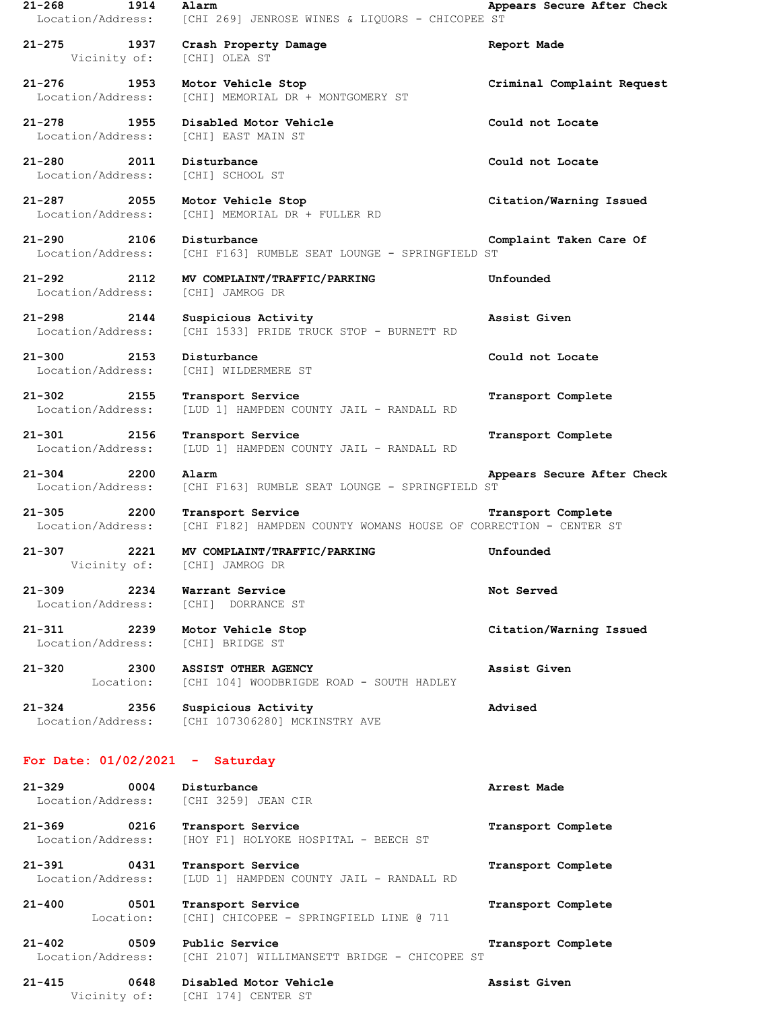| $21 - 268$<br>1914<br>Location/Address:          | Alarm<br>[CHI 269] JENROSE WINES & LIQUORS - CHICOPEE ST                              | Appears Secure After Check |
|--------------------------------------------------|---------------------------------------------------------------------------------------|----------------------------|
| $21 - 275$<br>1937<br>Vicinity of: [CHI] OLEA ST | Crash Property Damage                                                                 | Report Made                |
| 21-276 1953<br>Location/Address:                 | Motor Vehicle Stop<br>[CHI] MEMORIAL DR + MONTGOMERY ST                               | Criminal Complaint Request |
| 21-278<br>1955<br>Location/Address:              | Disabled Motor Vehicle<br>[CHI] EAST MAIN ST                                          | Could not Locate           |
| 21-280 2011<br>Location/Address:                 | Disturbance<br>[CHI] SCHOOL ST                                                        | Could not Locate           |
| 21-287 2055<br>Location/Address:                 | Motor Vehicle Stop<br>[CHI] MEMORIAL DR + FULLER RD                                   | Citation/Warning Issued    |
| 2106<br>21-290<br>Location/Address:              | Disturbance<br>[CHI F163] RUMBLE SEAT LOUNGE - SPRINGFIELD ST                         | Complaint Taken Care Of    |
| 21-292 2112<br>Location/Address:                 | MV COMPLAINT/TRAFFIC/PARKING<br>[CHI] JAMROG DR                                       | Unfounded                  |
| $21 - 298$<br>2144<br>Location/Address:          | Suspicious Activity<br>[CHI 1533] PRIDE TRUCK STOP - BURNETT RD                       | Assist Given               |
| 21-300 2153<br>Location/Address:                 | Disturbance<br>[CHI] WILDERMERE ST                                                    | Could not Locate           |
| $21 - 302$<br>2155<br>Location/Address:          | Transport Service<br>[LUD 1] HAMPDEN COUNTY JAIL - RANDALL RD                         | Transport Complete         |
| 21-301 2156<br>Location/Address:                 | Transport Service<br>[LUD 1] HAMPDEN COUNTY JAIL - RANDALL RD                         | Transport Complete         |
| 21-304 2200<br>Location/Address:                 | Alarm<br>[CHI F163] RUMBLE SEAT LOUNGE - SPRINGFIELD ST                               | Appears Secure After Check |
| $21 - 305$<br>2200<br>Location/Address:          | Transport Service<br>[CHI F182] HAMPDEN COUNTY WOMANS HOUSE OF CORRECTION - CENTER ST | Transport Complete         |
| 21-307<br>2221<br>Vicinity of:                   | MV COMPLAINT/TRAFFIC/PARKING<br>[CHI] JAMROG DR                                       | Unfounded                  |
| 21-309 2234<br>Location/Address:                 | Warrant Service<br>[CHI] DORRANCE ST                                                  | Not Served                 |
| 21-311 2239<br>Location/Address:                 | Motor Vehicle Stop<br>[CHI] BRIDGE ST                                                 | Citation/Warning Issued    |
| $21 - 320$<br>2300<br>Location:                  | ASSIST OTHER AGENCY<br>[CHI 104] WOODBRIGDE ROAD - SOUTH HADLEY                       | Assist Given               |
| $21 - 324$<br>2356                               | Suspicious Activity<br>Location/Address: [CHI 107306280] MCKINSTRY AVE                | Advised                    |
| For Date: $01/02/2021$ - Saturday                |                                                                                       |                            |
| 0004<br>$21 - 329$<br>Location/Address:          | Disturbance<br>[CHI 3259] JEAN CIR                                                    | Arrest Made                |
| 21-369 0216<br>Location/Address:                 | Transport Service<br>[HOY F1] HOLYOKE HOSPITAL - BEECH ST                             | Transport Complete         |
| 21-391<br>0431<br>Location/Address:              | Transport Service<br>[LUD 1] HAMPDEN COUNTY JAIL - RANDALL RD                         | Transport Complete         |
| 0501<br>$21 - 400$<br>Location:                  | Transport Service<br>[CHI] CHICOPEE - SPRINGFIELD LINE @ 711                          | Transport Complete         |
| 21-402 0509<br>Location/Address:                 | Public Service<br>[CHI 2107] WILLIMANSETT BRIDGE - CHICOPEE ST                        | Transport Complete         |
| $21 - 415$<br>0648                               | Disabled Motor Vehicle                                                                | Assist Given               |

Vicinity of: [CHI 174] CENTER ST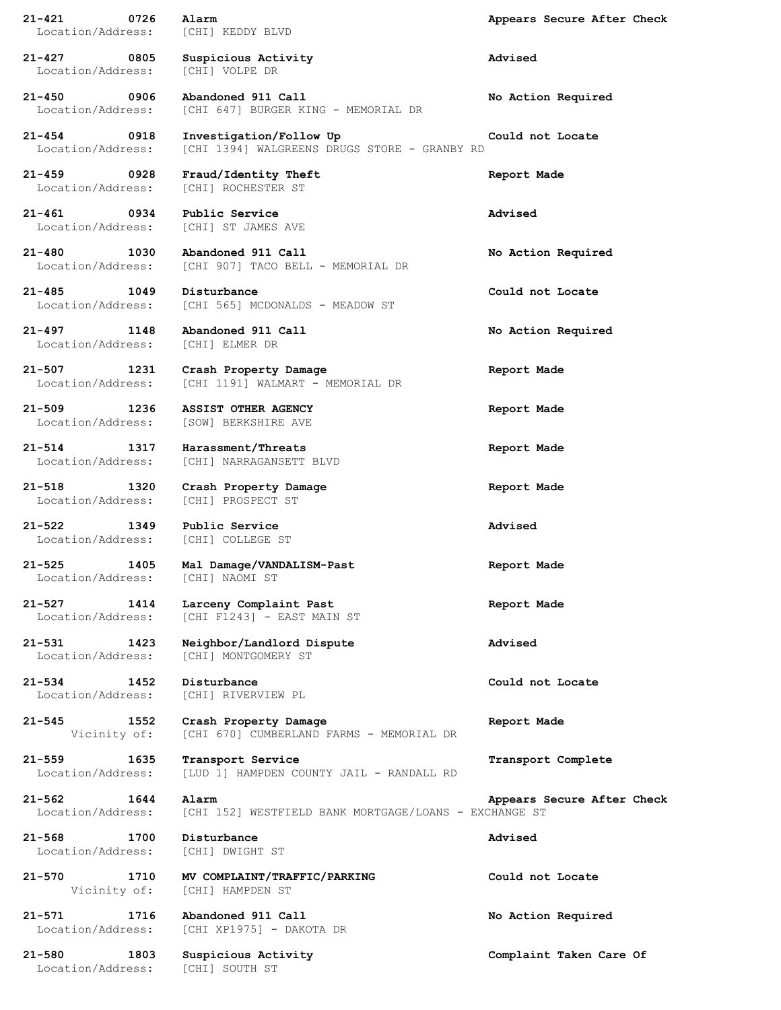| $\sim$ 0726<br>21-421<br>Location/Address: | Alarm<br>[CHI] KEDDY BLVD                                               | Appears Secure After Check |
|--------------------------------------------|-------------------------------------------------------------------------|----------------------------|
| 21-427 0805<br>Location/Address:           | Suspicious Activity<br>[CHI] VOLPE DR                                   | Advised                    |
| $21 - 450$<br>0906<br>Location/Address:    | Abandoned 911 Call<br>[CHI 647] BURGER KING - MEMORIAL DR               | No Action Required         |
| 21-454 0918<br>Location/Address:           | Investigation/Follow Up<br>[CHI 1394] WALGREENS DRUGS STORE - GRANBY RD | Could not Locate           |
| 21-459<br>0928<br>Location/Address:        | Fraud/Identity Theft<br>[CHI] ROCHESTER ST                              | Report Made                |
| $21 - 461$ 0934<br>Location/Address:       | Public Service<br>[CHI] ST JAMES AVE                                    | Advised                    |
| 21-480<br>1030<br>Location/Address:        | Abandoned 911 Call<br>[CHI 907] TACO BELL - MEMORIAL DR                 | No Action Required         |
| 21-485<br>1049<br>Location/Address:        | Disturbance<br>[CHI 565] MCDONALDS - MEADOW ST                          | Could not Locate           |
| 21-497<br>1148<br>Location/Address:        | Abandoned 911 Call<br>[CHI] ELMER DR                                    | No Action Required         |
| $21 - 507$<br>1231<br>Location/Address:    | Crash Property Damage<br>[CHI 1191] WALMART - MEMORIAL DR               | Report Made                |
| $21 - 509$<br>1236<br>Location/Address:    | ASSIST OTHER AGENCY<br>[SOW] BERKSHIRE AVE                              | Report Made                |
| 21-514<br>1317<br>Location/Address:        | Harassment/Threats<br>[CHI] NARRAGANSETT BLVD                           | Report Made                |
| $21 - 518$<br>1320<br>Location/Address:    | Crash Property Damage<br>[CHI] PROSPECT ST                              | Report Made                |
| $21 - 522$<br>1349<br>Location/Address:    | Public Service<br>[CHI] COLLEGE ST                                      | Advised                    |
| 1405<br>21-525<br>Location/Address:        | Mal Damage/VANDALISM-Past<br>[CHI] NAOMI ST                             | Report Made                |
| $21 - 527$<br>1414<br>Location/Address:    | Larceny Complaint Past<br>[CHI F1243] - EAST MAIN ST                    | Report Made                |
| 21-531<br>1423<br>Location/Address:        | Neighbor/Landlord Dispute<br>[CHI] MONTGOMERY ST                        | Advised                    |
| $21 - 534$<br>1452<br>Location/Address:    | Disturbance<br>[CHI] RIVERVIEW PL                                       | Could not Locate           |
| 21-545<br>1552<br>Vicinity of:             | Crash Property Damage<br>[CHI 670] CUMBERLAND FARMS - MEMORIAL DR       | Report Made                |
| $21 - 559$<br>1635<br>Location/Address:    | Transport Service<br>[LUD 1] HAMPDEN COUNTY JAIL - RANDALL RD           | Transport Complete         |
| $21 - 562$<br>1644<br>Location/Address:    | Alarm<br>[CHI 152] WESTFIELD BANK MORTGAGE/LOANS - EXCHANGE ST          | Appears Secure After Check |
| 21-568<br>1700<br>Location/Address:        | Disturbance<br>[CHI] DWIGHT ST                                          | Advised                    |
| 21-570<br>1710<br>Vicinity of:             | MV COMPLAINT/TRAFFIC/PARKING<br>[CHI] HAMPDEN ST                        | Could not Locate           |
| 21-571<br>1716<br>Location/Address:        | Abandoned 911 Call<br>[CHI XP1975] - DAKOTA DR                          | No Action Required         |
| 21-580<br>1803<br>Location/Address:        | Suspicious Activity<br>[CHI] SOUTH ST                                   | Complaint Taken Care Of    |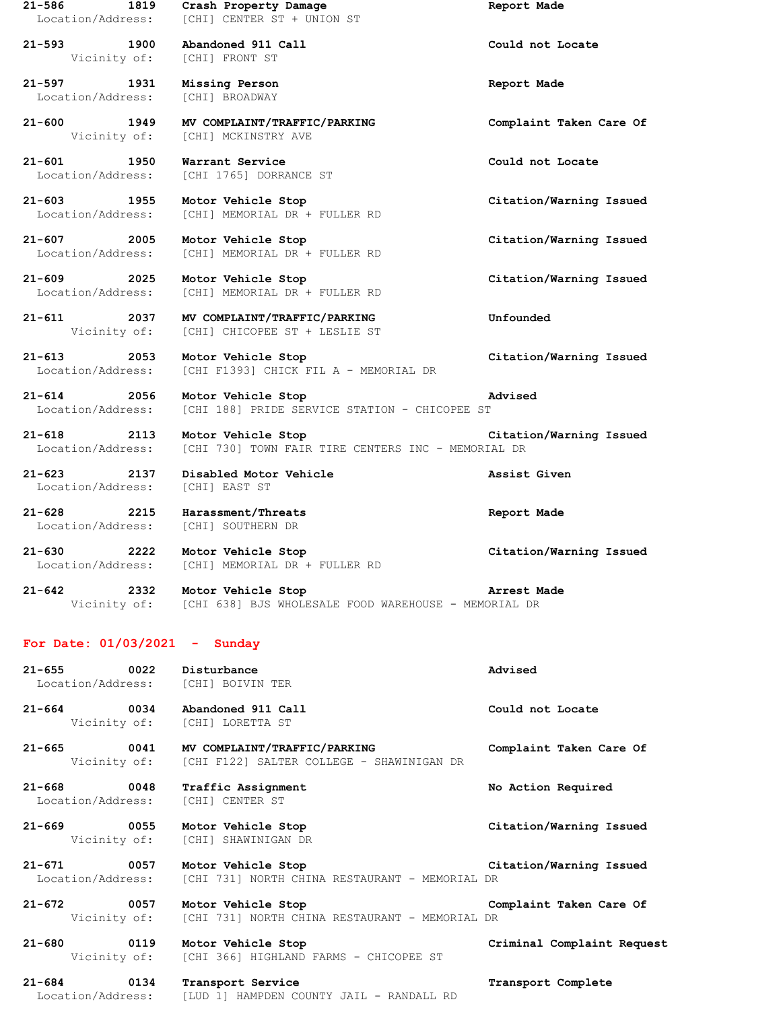**21-586 1819 Crash Property Damage Report Made** Location/Address: [CHI] CENTER ST + UNION ST **21-593 1900 Abandoned 911 Call Could not Locate** Vicinity of: [CHI] FRONT ST **21-597 1931 Missing Person Report Made** Location/Address: [CHI] BROADWAY **21-600 1949 MV COMPLAINT/TRAFFIC/PARKING Complaint Taken Care Of** [CHI] MCKINSTRY AVE **21-601 1950 Warrant Service Could not Locate** Location/Address: [CHI 1765] DORRANCE ST **21-603 1955 Motor Vehicle Stop Citation/Warning Issued** Location/Address: [CHI] MEMORIAL DR + FULLER RD **21-607 2005 Motor Vehicle Stop Citation/Warning Issued** Location/Address: [CHI] MEMORIAL DR + FULLER RD **21-609 2025 Motor Vehicle Stop Citation/Warning Issued** Location/Address: [CHI] MEMORIAL DR + FULLER RD **21-611 2037 MV COMPLAINT/TRAFFIC/PARKING Unfounded** Vicinity of: [CHI] CHICOPEE ST + LESLIE ST **21-613 2053 Motor Vehicle Stop Citation/Warning Issued** Location/Address: [CHI F1393] CHICK FIL A - MEMORIAL DR **21-614 2056 Motor Vehicle Stop Advised** Location/Address: [CHI 188] PRIDE SERVICE STATION - CHICOPEE ST **21-618 2113 Motor Vehicle Stop Citation/Warning Issued** Location/Address: [CHI 730] TOWN FAIR TIRE CENTERS INC - MEMORIAL DR **21-623 2137 Disabled Motor Vehicle Assist Given** Location/Address: [CHI] EAST ST **21-628 2215 Harassment/Threats Report Made** Location/Address: [CHI] SOUTHERN DR **21-630 2222 Motor Vehicle Stop Citation/Warning Issued** Location/Address: [CHI] MEMORIAL DR + FULLER RD **21-642 2332 Motor Vehicle Stop Arrest Made** [CHI 638] BJS WHOLESALE FOOD WAREHOUSE - MEMORIAL DR **For Date: 01/03/2021 - Sunday 21-655 0022 Disturbance Advised** Location/Address: [CHI] BOIVIN TER **21-664 0034 Abandoned 911 Call Could not Locate** Vicinity of: [CHI] LORETTA ST **21-665 0041 MV COMPLAINT/TRAFFIC/PARKING Complaint Taken Care Of** Vicinity of: [CHI F122] SALTER COLLEGE - SHAWINIGAN DR **21-668 0048 Traffic Assignment No Action Required** Location/Address: [CHI] CENTER ST **21-669 0055 Motor Vehicle Stop Citation/Warning Issued** Vicinity of: [CHI] SHAWINIGAN DR **21-671 0057 Motor Vehicle Stop Citation/Warning Issued** Location/Address: [CHI 731] NORTH CHINA RESTAURANT - MEMORIAL DR **21-672 0057 Motor Vehicle Stop Complaint Taken Care Of** Vicinity of: [CHI 731] NORTH CHINA RESTAURANT - MEMORIAL DR **21-680 0119 Motor Vehicle Stop Criminal Complaint Request** Vicinity of: [CHI 366] HIGHLAND FARMS - CHICOPEE ST **21-684 0134 Transport Service Transport Complete**

Location/Address: [LUD 1] HAMPDEN COUNTY JAIL - RANDALL RD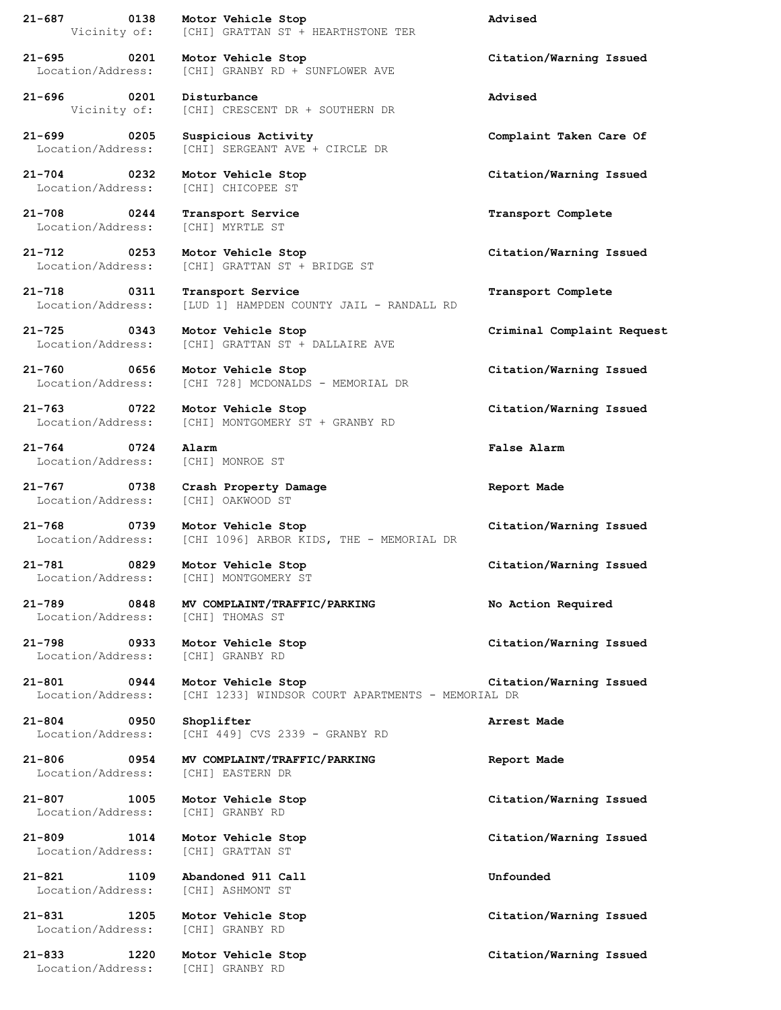**21-687 0138 Motor Vehicle Stop Advised** Vicinity of: [CHI] GRATTAN ST + HEARTHSTONE TER

**21-695 0201 Motor Vehicle Stop Citation/Warning Issued** Location/Address: [CHI] GRANBY RD + SUNFLOWER AVE

**21-696 0201 Disturbance Advised** Vicinity of: [CHI] CRESCENT DR + SOUTHERN DR

**21-699 0205 Suspicious Activity Complaint Taken Care Of** Location/Address: [CHI] SERGEANT AVE + CIRCLE DR

**21-704 0232 Motor Vehicle Stop Citation/Warning Issued** Location/Address: [CHI] CHICOPEE ST

**21-708 0244 Transport Service Transport Complete** Location/Address: [CHI] MYRTLE ST

**21-712 0253 Motor Vehicle Stop Citation/Warning Issued** Location/Address: [CHI] GRATTAN ST + BRIDGE ST

**21-718 0311 Transport Service Transport Complete** Location/Address: [LUD 1] HAMPDEN COUNTY JAIL - RANDALL RD

**21-725 0343 Motor Vehicle Stop Criminal Complaint Request** Location/Address: [CHI] GRATTAN ST + DALLAIRE AVE

**21-760 0656 Motor Vehicle Stop Citation/Warning Issued** Location/Address: [CHI 728] MCDONALDS - MEMORIAL DR

**21-763 0722 Motor Vehicle Stop Citation/Warning Issued** Location/Address: [CHI] MONTGOMERY ST + GRANBY RD

**21-764 0724 Alarm False Alarm** Location/Address: [CHI] MONROE ST

**21-767 0738 Crash Property Damage Report Made** Location/Address: [CHI] OAKWOOD ST

Location/Address: [CHI 1096] ARBOR KIDS, THE - MEMORIAL DR

Location/Address: [CHI] MONTGOMERY ST

**21-789 0848 MV COMPLAINT/TRAFFIC/PARKING No Action Required** Location/Address: [CHI] THOMAS ST

Location/Address: [CHI] GRANBY RD

Location/Address: [CHI 449] CVS 2339 - GRANBY RD

Location/Address: [CHI] EASTERN DR

**21-809 1014 Motor Vehicle Stop Citation/Warning Issued** Location/Address: [CHI] GRATTAN ST

**21-833 1220 Motor Vehicle Stop Citation/Warning Issued** Location/Address: [CHI] GRANBY RD

**21-768 0739 Motor Vehicle Stop Citation/Warning Issued**

**21-781 0829 Motor Vehicle Stop Citation/Warning Issued**

**21-798 0933 Motor Vehicle Stop Citation/Warning Issued**

**21-801 0944 Motor Vehicle Stop Citation/Warning Issued** Location/Address: [CHI 1233] WINDSOR COURT APARTMENTS - MEMORIAL DR

**21-804 0950 Shoplifter Arrest Made**

**21-806 0954 MV COMPLAINT/TRAFFIC/PARKING Report Made**

Location/Address: [CHI] GRANBY RD

**21-821 1109 Abandoned 911 Call Unfounded** Location/Address: [CHI] ASHMONT ST

Location/Address: [CHI] GRANBY RD

**21-807 1005 Motor Vehicle Stop Citation/Warning Issued**

**21-831 1205 Motor Vehicle Stop Citation/Warning Issued**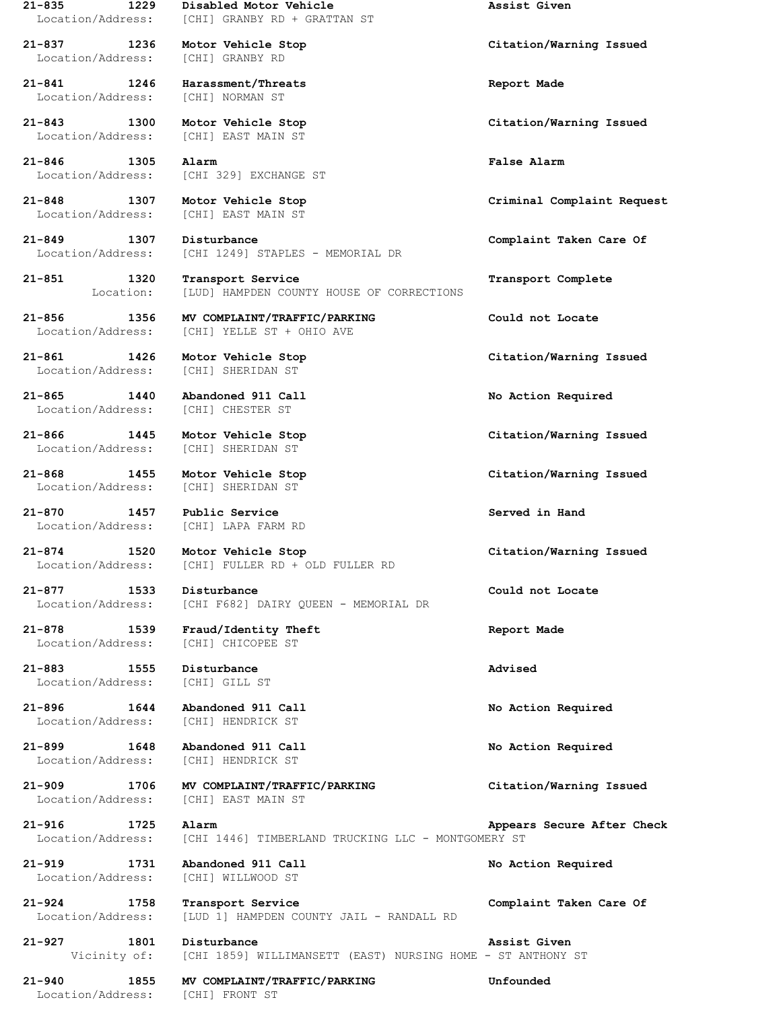Location/Address: [CHI] GRANBY RD

**21-841 1246 Harassment/Threats Report Made** Location/Address: [CHI] NORMAN ST

Location/Address: [CHI] EAST MAIN ST

**21-846 1305 Alarm False Alarm**

Location/Address: [CHI] SHERIDAN ST

**21-865 1440 Abandoned 911 Call No Action Required** Location/Address: [CHI] CHESTER ST

Location/Address: [CHI] SHERIDAN ST

**21-870 1457 Public Service Served in Hand**

**21-883 1555 Disturbance Advised** Location/Address: [CHI] GILL ST

**21-896 1644 Abandoned 911 Call No Action Required**

**21-919 1731 Abandoned 911 Call No Action Required**

Location/Address: [CHI] FRONT ST

**21-835 1229 Disabled Motor Vehicle Assist Given** Location/Address: [CHI] GRANBY RD + GRATTAN ST

Location/Address: [CHI 329] EXCHANGE ST

Location/Address: [CHI] EAST MAIN ST

**21-849 1307 Disturbance Complaint Taken Care Of** Location/Address: [CHI 1249] STAPLES - MEMORIAL DR

**21-851 1320 Transport Service Transport Complete** Location: [LUD] HAMPDEN COUNTY HOUSE OF CORRECTIONS

**21-856 1356 MV COMPLAINT/TRAFFIC/PARKING Could not Locate** Location/Address: [CHI] YELLE ST + OHIO AVE

Location/Address: [CHI] SHERIDAN ST

Location/Address: [CHI] LAPA FARM RD

**21-874 1520 Motor Vehicle Stop Citation/Warning Issued** Location/Address: [CHI] FULLER RD + OLD FULLER RD

**21-877 1533 Disturbance Could not Locate** Location/Address: [CHI F682] DAIRY QUEEN - MEMORIAL DR

**21-878 1539 Fraud/Identity Theft Report Made** Location/Address: [CHI] CHICOPEE ST

Location/Address: [CHI] HENDRICK ST

**21-899 1648 Abandoned 911 Call No Action Required** Location/Address: [CHI] HENDRICK ST

**21-909 1706 MV COMPLAINT/TRAFFIC/PARKING Citation/Warning Issued** Location/Address: [CHI] EAST MAIN ST

**21-916 1725 Alarm Appears Secure After Check** Location/Address: [CHI 1446] TIMBERLAND TRUCKING LLC - MONTGOMERY ST

Location/Address: [CHI] WILLWOOD ST

**21-924 1758 Transport Service Complaint Taken Care Of** Location/Address: [LUD 1] HAMPDEN COUNTY JAIL - RANDALL RD

**21-927 1801 Disturbance Assist Given** Vicinity of: [CHI 1859] WILLIMANSETT (EAST) NURSING HOME - ST ANTHONY ST

**21-940 1855 MV COMPLAINT/TRAFFIC/PARKING Unfounded**

**21-837 1236 Motor Vehicle Stop Citation/Warning Issued**

**21-843 1300 Motor Vehicle Stop Citation/Warning Issued**

**21-848 1307 Motor Vehicle Stop Criminal Complaint Request**

**21-861 1426 Motor Vehicle Stop Citation/Warning Issued**

**21-866 1445 Motor Vehicle Stop Citation/Warning Issued**

**21-868 1455 Motor Vehicle Stop Citation/Warning Issued**